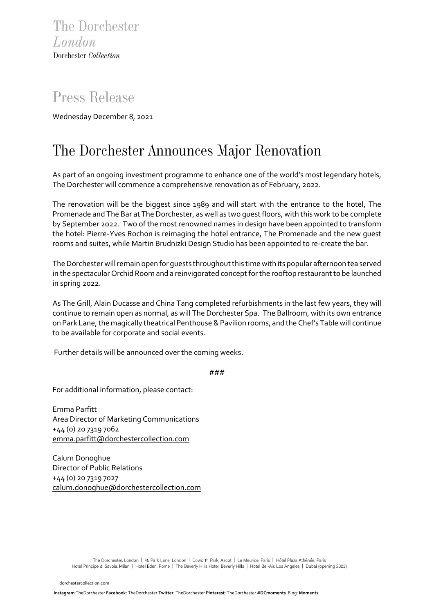## *Press Release*

Wednesday December 8, 2021

## *The Dorchester Announces Major Renovation*

As part of an ongoing investment programme to enhance one of the world's most legendary hotels, The Dorchester will commence a comprehensive renovation as of February, 2022.

The renovation will be the biggest since 1989 and will start with the entrance to the hotel, The Promenade and The Bar at The Dorchester, as well as two guest floors, with this work to be complete by September 2022. Two of the most renowned names in design have been appointed to transform the hotel: Pierre-Yves Rochon is reimaging the hotel entrance, The Promenade and the new guest rooms and suites, while Martin Brudnizki Design Studio has been appointed to re-create the bar.

The Dorchester will remain open for guests throughout this time with its popular afternoon tea served in the spectacular Orchid Room and a reinvigorated concept for the rooftop restaurant to be launched in spring 2022.

As The Grill, Alain Ducasse and China Tang completed refurbishments in the last few years, they will continue to remain open as normal, as will The Dorchester Spa. The Ballroom, with its own entrance on Park Lane, the magically theatrical Penthouse & Pavilion rooms, and the Chef's Table will continue to be available for corporate and social events.

Further details will be announced over the coming weeks.

###

For additional information, please contact:

Emma Parfitt Area Director of Marketing Communications +44 (0) 20 7319 7062 [emma.parfitt@dorchestercollection.com](mailto:emma.parfitt@dorchestercollection.com)

Calum Donoghue Director of Public Relations +44 (0) 20 7319 7027 [calum.donoghue@dorchestercollection.com](mailto:calum.donoghue@dorchestercollection.com)